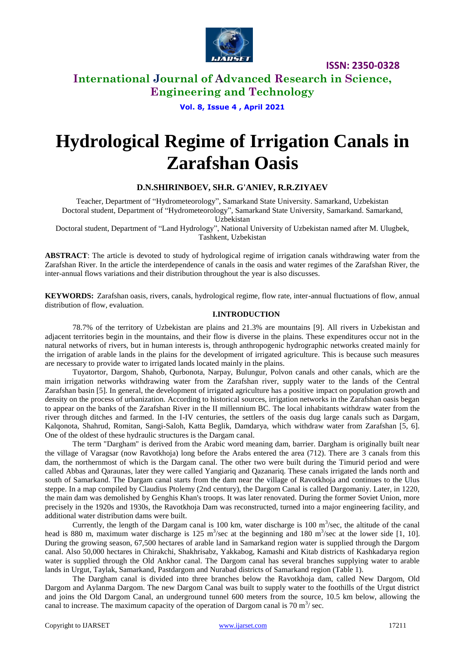

**ISSN: 2350-0328**

### **International Journal of Advanced Research in Science, Engineering and Technology**

**Vol. 8, Issue 4 , April 2021**

# **Hydrological Regime of Irrigation Canals in Zarafshan Oasis**

### **D.N.SHIRINBOEV, SH.R. G'ANIEV, R.R.ZIYAEV**

Teacher, Department of "Hydrometeorology", Samarkand State University. Samarkand, Uzbekistan Doctoral student, Department of "Hydrometeorology", Samarkand State University, Samarkand. Samarkand, Uzbekistan

Doctoral student, Department of "Land Hydrology", National University of Uzbekistan named after M. Ulugbek, Tashkent, Uzbekistan

**ABSTRACT**: The article is devoted to study of hydrological regime of irrigation canals withdrawing water from the Zarafshan River. In the article the interdependence of canals in the oasis and water regimes of the Zarafshan River, the inter-annual flows variations and their distribution throughout the year is also discusses.

**KEYWORDS:** Zarafshan oasis, rivers, canals, hydrological regime, flow rate, inter-annual fluctuations of flow, annual distribution of flow, evaluation.

#### **I.INTRODUCTION**

78.7% of the territory of Uzbekistan are plains and 21.3% are mountains [9]. All rivers in Uzbekistan and adjacent territories begin in the mountains, and their flow is diverse in the plains. These expenditures occur not in the natural networks of rivers, but in human interests is, through anthropogenic hydrographic networks created mainly for the irrigation of arable lands in the plains for the development of irrigated agriculture. This is because such measures are necessary to provide water to irrigated lands located mainly in the plains.

Tuyatortor, Dargom, Shahob, Qurbonota, Narpay, Bulungur, Polvon canals and other canals, which are the main irrigation networks withdrawing water from the Zarafshan river, supply water to the lands of the Central Zarafshan basin [5]. In general, the development of irrigated agriculture has a positive impact on population growth and density on the process of urbanization. According to historical sources, irrigation networks in the Zarafshan oasis began to appear on the banks of the Zarafshan River in the II millennium BC. The local inhabitants withdraw water from the river through ditches and farmed. In the I-IV centuries, the settlers of the oasis dug large canals such as Dargam, Kalqonota, Shahrud, Romitan, Sangi-Saloh, Katta Beglik, Damdarya, which withdraw water from Zarafshan [5, 6]. One of the oldest of these hydraulic structures is the Dargam canal.

The term "Dargham" is derived from the Arabic word meaning dam, barrier. Dargham is originally built near the village of Varagsar (now Ravotkhoja) long before the Arabs entered the area (712). There are 3 canals from this dam, the northernmost of which is the Dargam canal. The other two were built during the Timurid period and were called Abbas and Qaraunas, later they were called Yangiariq and Qazanariq. These canals irrigated the lands north and south of Samarkand. The Dargam canal starts from the dam near the village of Ravotkhoja and continues to the Ulus steppe. In a map compiled by Claudius Ptolemy (2nd century), the Dargom Canal is called Dargomaniy. Later, in 1220, the main dam was demolished by Genghis Khan's troops. It was later renovated. During the former Soviet Union, more precisely in the 1920s and 1930s, the Ravotkhoja Dam was reconstructed, turned into a major engineering facility, and additional water distribution dams were built.

Currently, the length of the Dargam canal is 100 km, water discharge is 100  $\text{m}^3/\text{sec}$ , the altitude of the canal head is 880 m, maximum water discharge is 125 m<sup>3</sup>/sec at the beginning and 180 m<sup>3</sup>/sec at the lower side [1, 10]. During the growing season, 67,500 hectares of arable land in Samarkand region water is supplied through the Dargom canal. Also 50,000 hectares in Chirakchi, Shakhrisabz, Yakkabog, Kamashi and Kitab districts of Kashkadarya region water is supplied through the Old Ankhor canal. The Dargom canal has several branches supplying water to arable lands in Urgut, Taylak, Samarkand, Pastdargom and Nurabad districts of Samarkand region (Table 1).

The Dargham canal is divided into three branches below the Ravotkhoja dam, called New Dargom, Old Dargom and Aylanma Dargom. The new Dargom Canal was built to supply water to the foothills of the Urgut district and joins the Old Dargom Canal, an underground tunnel 600 meters from the source, 10.5 km below, allowing the canal to increase. The maximum capacity of the operation of Dargom canal is 70  $\mathrm{m}^3$ / sec.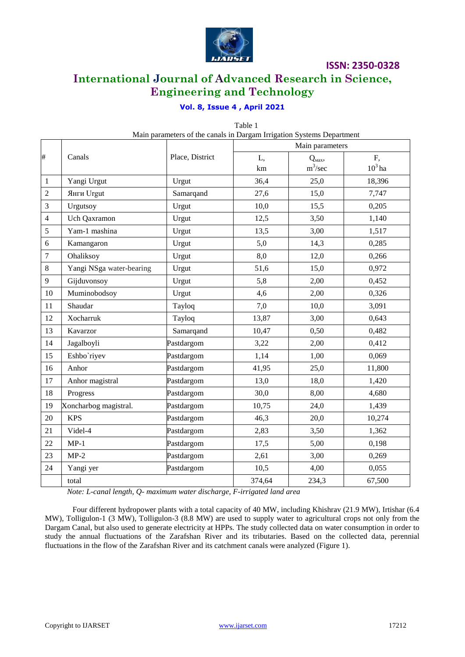

**ISSN: 2350-0328**

## **International Journal of Advanced Research in Science, Engineering and Technology**

### **Vol. 8, Issue 4 , April 2021**

|                |                          |                 | Table 1                                                                                  |                               |                 |
|----------------|--------------------------|-----------------|------------------------------------------------------------------------------------------|-------------------------------|-----------------|
|                |                          | Place, District | Main parameters of the canals in Dargam Irrigation Systems Department<br>Main parameters |                               |                 |
| $\#$           | Canals                   |                 | L,<br>km                                                                                 | $Q_{\text{max}}$<br>$m^3/sec$ | F,<br>$10^3$ ha |
| $\mathbf{1}$   | Yangi Urgut              | Urgut           | 36,4                                                                                     | 25,0                          | 18,396          |
| $\sqrt{2}$     | Янги Urgut               | Samarqand       | 27,6                                                                                     | 15,0                          | 7,747           |
| 3              | Urgutsoy                 | Urgut           | 10,0                                                                                     | 15,5                          | 0,205           |
| $\overline{4}$ | Uch Qaxramon             | Urgut           | 12,5                                                                                     | 3,50                          | 1,140           |
| 5              | Yam-1 mashina            | Urgut           | 13,5                                                                                     | 3,00                          | 1,517           |
| 6              | Kamangaron               | Urgut           | 5,0                                                                                      | 14,3                          | 0,285           |
| $\overline{7}$ | Ohaliksoy                | Urgut           | 8,0                                                                                      | 12,0                          | 0,266           |
| 8              | Yangi NSga water-bearing | Urgut           | 51,6                                                                                     | 15,0                          | 0,972           |
| 9              | Gijduvonsoy              | Urgut           | 5,8                                                                                      | 2,00                          | 0,452           |
| 10             | Muminobodsoy             | Urgut           | 4,6                                                                                      | 2,00                          | 0,326           |
| 11             | Shaudar                  | Tayloq          | 7,0                                                                                      | 10,0                          | 3,091           |
| 12             | Xocharruk                | Tayloq          | 13,87                                                                                    | 3,00                          | 0,643           |
| 13             | Kavarzor                 | Samarqand       | 10,47                                                                                    | 0,50                          | 0,482           |
| 14             | Jagalboyli               | Pastdargom      | 3,22                                                                                     | 2,00                          | 0,412           |
| 15             | Eshbo'riyev              | Pastdargom      | 1,14                                                                                     | 1,00                          | 0,069           |
| 16             | Anhor                    | Pastdargom      | 41,95                                                                                    | 25,0                          | 11,800          |
| 17             | Anhor magistral          | Pastdargom      | 13,0                                                                                     | 18,0                          | 1,420           |
| 18             | Progress                 | Pastdargom      | 30,0                                                                                     | 8,00                          | 4,680           |
| 19             | Xoncharbog magistral.    | Pastdargom      | 10,75                                                                                    | 24,0                          | 1,439           |
| 20             | <b>KPS</b>               | Pastdargom      | 46,3                                                                                     | 20,0                          | 10,274          |
| 21             | Videl-4                  | Pastdargom      | 2,83                                                                                     | 3,50                          | 1,362           |
| 22             | $MP-1$                   | Pastdargom      | 17,5                                                                                     | 5,00                          | 0,198           |
| 23             | $MP-2$                   | Pastdargom      | 2,61                                                                                     | 3,00                          | 0,269           |
| 24             | Yangi yer                | Pastdargom      | 10,5                                                                                     | 4,00                          | 0,055           |
|                | total                    |                 | 374,64                                                                                   | 234,3                         | 67,500          |

*Note: L-canal length, Q- maximum water discharge, F-irrigated land area*

Four different hydropower plants with a total capacity of 40 MW, including Khishrav (21.9 MW), Irtishar (6.4 MW), Tolligulon-1 (3 MW), Tolligulon-3 (8.8 MW) are used to supply water to agricultural crops not only from the Dargam Canal, but also used to generate electricity at HPPs. The study collected data on water consumption in order to study the annual fluctuations of the Zarafshan River and its tributaries. Based on the collected data, perennial fluctuations in the flow of the Zarafshan River and its catchment canals were analyzed (Figure 1).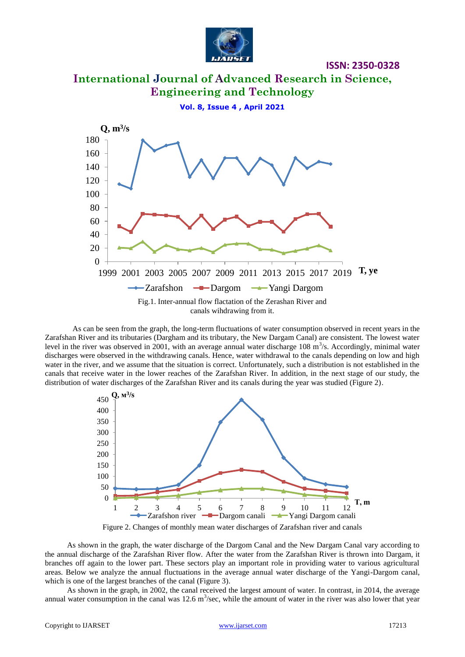

**ISSN: 2350-0328**

# **International Journal of Advanced Research in Science, Engineering and Technology Vol. 8, Issue 4 , April 2021** Fig.1. Inter-annual flow flactation of the Zerashan River and  $\Omega$ 20 40 60 80 100 120 140 160 180 1999 2001 2003 2005 2007 2009 2011 2013 2015 2017 2019 **T, ye Q, m<sup>3</sup> /s** -Zarafshon -Dargom - Yangi Dargom

canals wihdrawing from it.

As can be seen from the graph, the long-term fluctuations of water consumption observed in recent years in the Zarafshan River and its tributaries (Dargham and its tributary, the New Dargam Canal) are consistent. The lowest water level in the river was observed in 2001, with an average annual water discharge 108  $\text{m}^3$ /s. Accordingly, minimal water discharges were observed in the withdrawing canals. Hence, water withdrawal to the canals depending on low and high water in the river, and we assume that the situation is correct. Unfortunately, such a distribution is not established in the canals that receive water in the lower reaches of the Zarafshan River. In addition, in the next stage of our study, the distribution of water discharges of the Zarafshan River and its canals during the year was studied (Figure 2).



Figure 2. Changes of monthly mean water discharges of Zarafshan river and canals

As shown in the graph, the water discharge of the Dargom Canal and the New Dargam Canal vary according to the annual discharge of the Zarafshan River flow. After the water from the Zarafshan River is thrown into Dargam, it branches off again to the lower part. These sectors play an important role in providing water to various agricultural areas. Below we analyze the annual fluctuations in the average annual water discharge of the Yangi-Dargom canal, which is one of the largest branches of the canal (Figure 3).

As shown in the graph, in 2002, the canal received the largest amount of water. In contrast, in 2014, the average annual water consumption in the canal was 12.6  $m^3$ /sec, while the amount of water in the river was also lower that year